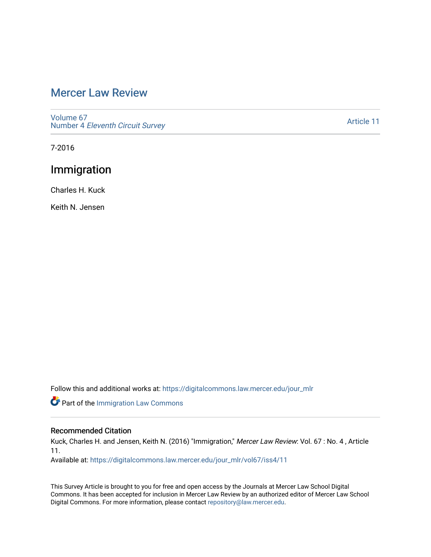# [Mercer Law Review](https://digitalcommons.law.mercer.edu/jour_mlr)

[Volume 67](https://digitalcommons.law.mercer.edu/jour_mlr/vol67) Number 4 [Eleventh Circuit Survey](https://digitalcommons.law.mercer.edu/jour_mlr/vol67/iss4) 

[Article 11](https://digitalcommons.law.mercer.edu/jour_mlr/vol67/iss4/11) 

7-2016

# Immigration

Charles H. Kuck

Keith N. Jensen

Follow this and additional works at: [https://digitalcommons.law.mercer.edu/jour\\_mlr](https://digitalcommons.law.mercer.edu/jour_mlr?utm_source=digitalcommons.law.mercer.edu%2Fjour_mlr%2Fvol67%2Fiss4%2F11&utm_medium=PDF&utm_campaign=PDFCoverPages)

Part of the [Immigration Law Commons](http://network.bepress.com/hgg/discipline/604?utm_source=digitalcommons.law.mercer.edu%2Fjour_mlr%2Fvol67%2Fiss4%2F11&utm_medium=PDF&utm_campaign=PDFCoverPages)

### Recommended Citation

Kuck, Charles H. and Jensen, Keith N. (2016) "Immigration," Mercer Law Review: Vol. 67 : No. 4, Article 11.

Available at: [https://digitalcommons.law.mercer.edu/jour\\_mlr/vol67/iss4/11](https://digitalcommons.law.mercer.edu/jour_mlr/vol67/iss4/11?utm_source=digitalcommons.law.mercer.edu%2Fjour_mlr%2Fvol67%2Fiss4%2F11&utm_medium=PDF&utm_campaign=PDFCoverPages) 

This Survey Article is brought to you for free and open access by the Journals at Mercer Law School Digital Commons. It has been accepted for inclusion in Mercer Law Review by an authorized editor of Mercer Law School Digital Commons. For more information, please contact [repository@law.mercer.edu](mailto:repository@law.mercer.edu).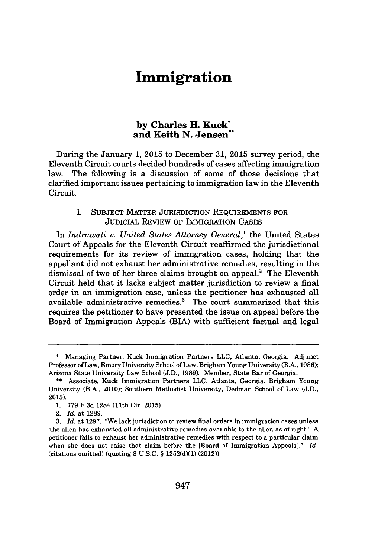# **Immigration**

### **by Charles H. Kuck\* and Keith N. Jensen"**

During the January **1, 2015** to December **31, 2015** survey period, the Eleventh Circuit courts decided hundreds of cases affecting immigration law. The following is a discussion of some of those decisions that clarified important issues pertaining to immigration law in the Eleventh Circuit.

#### I. SUBJECT MATTER JURISDICTION REQUIREMENTS FOR JUDICIAL REVIEW OF IMMIGRATION **CASES**

In *Indrawati v. United States Attorney General,'* the United States Court of Appeals for the Eleventh Circuit reaffirmed the jurisdictional requirements for its review of immigration cases, holding that the appellant did not exhaust her administrative remedies, resulting in the dismissal of two of her three claims brought on appeal.' The Eleventh Circuit held that it lacks subject matter jurisdiction to review a final order in an immigration case, unless the petitioner has exhausted all available administrative remedies.' The court summarized that this requires the petitioner to have presented the issue on appeal before the Board of Immigration Appeals (BIA) with sufficient factual and legal

**<sup>\*</sup>** Managing Partner, Kuck Immigration Partners **LLC,** Atlanta, Georgia. Adjunct Professor of Law, Emory University School of Law. Brigham Young University (B.A., **1986);** Arizona State University Law School **(J.D., 1989).** Member, State Bar of Georgia.

**<sup>\*\*</sup>** Associate, Kuck Immigration Partners **LLC,** Atlanta, Georgia. Brigham Young University (B.A., 2010); Southern Methodist University, Dedman School of Law **(J.D., 2015).**

**<sup>1. 779</sup> F.3d** 1284 (11th Cir. **2015).**

<sup>2.</sup> *Id.* at **1289.**

**<sup>3.</sup>** *Id.* at **1297.** "We lack jurisdiction to review final orders in immigration cases unless 'the alien has exhausted all administrative remedies available to the alien as of right.' **A** petitioner fails to exhaust her administrative remedies with respect to a particular claim when she does not raise that claim before the [Board of Immigration Appeals]." *Id.* (citations omitted) (quoting **8 U.S.C. § 1252(d)(1)** (2012)).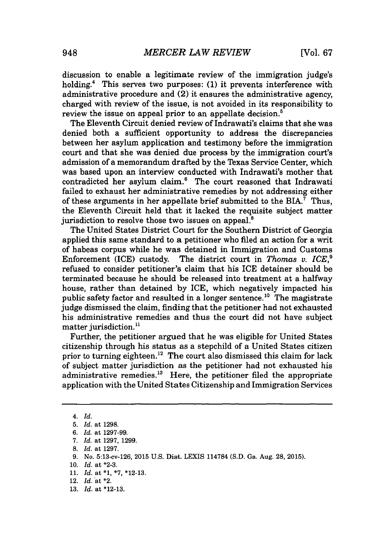discussion to enable a legitimate review of the immigration judge's holding.4 This serves two purposes: **(1)** it prevents interference with administrative procedure and (2) it ensures the administrative agency, charged with review of the issue, is not avoided in *its* responsibility to review the issue on appeal prior to an appellate decision.<sup>5</sup>

The Eleventh Circuit denied review of Indrawati's claims that she was denied both a sufficient opportunity to address the discrepancies between her asylum application and testimony before the immigration court and that she was denied due process **by** the immigration court's admission of a memorandum drafted **by** the Texas Service Center, which was based upon an interview conducted with Indrawati's mother that contradicted her asylum claim.<sup>6</sup> The court reasoned that Indrawati failed to exhaust her administrative remedies **by** not addressing either of these arguments in her appellate brief submitted to the BIA.' Thus, the Eleventh Circuit held that it lacked the requisite subject matter jurisdiction to resolve those two issues on appeal.<sup>8</sup>

The United States District Court for the Southern District of Georgia applied this same standard to a petitioner who filed an action for a writ of habeas corpus while he was detained in Immigration and Customs Enforcement (ICE) custody. The district court in *Thomas v. ICE,<sup>9</sup>* refused to consider petitioner's claim that his ICE detainer should be terminated because he should be released into treatment at a halfway house, rather than detained **by** ICE, which negatively impacted his public safety factor and resulted in a longer sentence.<sup>10</sup> The magistrate judge dismissed the claim, finding that the petitioner had not exhausted his administrative remedies and thus the court did not have subject matter jurisdiction.<sup>11</sup>

Further, the petitioner argued that he was eligible for United States citizenship through his status as a stepchild of a United States citizen prior to turning eighteen.<sup>12</sup> The court also dismissed this claim for lack of subject matter jurisdiction as the petitioner had not exhausted his administrative remedies.<sup>13</sup> Here, the petitioner filed the appropriate application with the United States Citizenship and Immigration Services

**8.** *Id.* at **1297.**

- **10.** *Id.* at **\*2-3.**
- **11.** *Id.* at **\*1, \*7, \*12-13.**
- 12. *Id.* at \*2.
- **13.** *Id.* at **\*12-13.**

*<sup>4.</sup> Id.*

**<sup>5.</sup>** *Id.* at **1298.**

*<sup>6.</sup> Id.* at **1297-99.**

*<sup>7.</sup> Id.* at **1297, 1299.**

**<sup>9.</sup>** No. 5:13-cv-126, **2015 U.S.** Dist. **LEXIS** 114784 **(S.D.** Ga. Aug. **28, 2015).**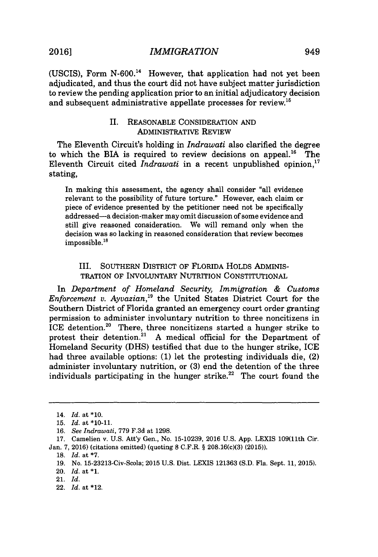**(USCIS),** Form **N-600.** However, that application had not yet been adjudicated, and thus the court did not have subject matter jurisdiction to review the pending application prior to an initial adjudicatory decision and subsequent administrative appellate processes for review.<sup>15</sup>

#### II. **REASONABLE** CONSIDERATION **AND** ADMINISTRATIVE REVIEW

The Eleventh Circuit's holding in *Indrawati* also clarified the degree to which the BIA is required to review decisions on appeal.<sup>16</sup> The Eleventh Circuit cited *Indrawati* in a recent unpublished opinion, stating,

In making this assessment, the agency shall consider "all evidence relevant to the possibility of future torture." However, each claim or piece of evidence presented **by** the petitioner need not be specifically addressed-a decision-maker may omit discussion of some evidence and still give reasoned consideration. We will remand only when the decision was so lacking in reasoned consideration that review becomes impossible.<sup>18</sup>

#### III. **SOUTHERN** DISTRICT OF FLORIDA HOLDS ADMINIS-TRATION OF INVOLUNTARY NUTRITION CONSTITUTIONAL

In *Department of Homeland Security, Immigration & Customs Enforcement v. Ayvazian*,<sup>19</sup> the United States District Court for the Southern District of Florida granted an emergency court order granting permission to administer involuntary nutrition to three noncitizens in ICE detention.<sup>20</sup> There, three noncitizens started a hunger strike to protest their detention.<sup>21</sup> A medical official for the Department of Homeland Security **(DHS)** testified that due to the hunger strike, ICE had three available options: **(1)** let the protesting individuals die, (2) administer involuntary nutrition, or **(3)** end the detention of the three individuals participating in the hunger strike.<sup>22</sup> The court found the

22. *Id.* at \*12.

<sup>14.</sup> *Id. at* **\*10.**

**<sup>15.</sup>** *Id.* at **\*10-11.**

*<sup>16.</sup> See Indrawati,* **779 F.3d** at **1298.**

**<sup>17.</sup>** Camelien v. **U.S.** Att'y Gen., No. **15-10239, 2016 U.S. App.** LEXIS 109(11th Cir. Jan. **7, 2016)** (citations omitted) (quoting **8** C.F.R. *§* **208.16(c)(3) (2015)).**

**<sup>18.</sup>** *Id.* at **\*7.**

**<sup>19.</sup>** No. 15-23213-Civ-Scola; **2015 U.S.** Dist. LEXIS **121363 (S.D.** Fla. Sept. **11, 2015).**

<sup>20.</sup> *Id.* at **\*1.**

<sup>21.</sup> *Id.*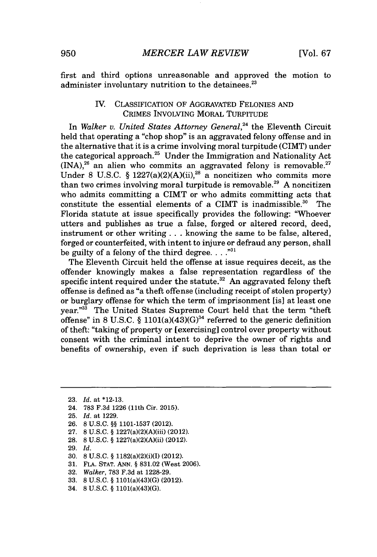first and third options unreasonable and approved the motion to administer involuntary nutrition to the detainees.<sup>23</sup>

#### IV. CLASSIFICATION OF **AGGRAVATED FELONIES AND** CRIMES INVOLVING MORAL TURPITUDE

In *Walker v. United States Attorney General,24* the Eleventh Circuit held that operating a "chop shop" is an aggravated felony offense and in the alternative that it is a crime involving moral turpitude (CIMT) under the categorical approach. $25$  Under the Immigration and Nationality Act  $(INA)^{26}$  an alien who commits an aggravated felony is removable.<sup>27</sup> Under 8 U.S.C.  $\frac{6}{9}$  1227(a)(2)(A)(ii),<sup>28</sup> a noncitizen who commits more than two crimes involving moral turpitude is removable.<sup>29</sup> A noncitizen who admits committing a CIMT or who admits committing acts that constitute the essential elements of a CIMT is inadmissible.<sup>30</sup> The Florida statute at issue specifically provides the following: "Whoever utters and publishes as true a false, forged or altered record, deed, instrument or other writing **. . .** knowing the same to be false, altered, forged or counterfeited, with intent to injure or defraud any person, shall be guilty of a felony of the third degree. **. . .""**

The Eleventh Circuit held the offense at issue requires deceit, as the offender knowingly makes a false representation regardless of the specific intent required under the statute. $32$  An aggravated felony theft offense is defined as "a theft offense (including receipt of stolen property) or burglary offense for which the term of imprisonment [is] at least one year."<sup>33</sup> The United States Supreme Court held that the term "theft offense" in 8 U.S.C.  $\S$  1101(a)( $4\overline{3}$ )(G)<sup>34</sup> referred to the generic definition of theft: "taking of property or [exercising] control over property without consent with the criminal intent to deprive the owner of rights and benefits of ownership, even if such deprivation is less than total or

- **26. 8 U.S.C. §§ 1101-1537** (2012).
- **27. 8 U.S.C. §** 1227(a)(2)(A)(iii) (2012).
- **28. 8 U.S.C. §** 1227(a)(2)(A)(ii) (2012).
- **29.** *Id.*
- **30. 8 U.S.C. §** 1182(a)(2)(i)(I) (2012).
- **31. FLA. STAT. ANN. § 831.02** (West **2006).**
- **32.** *Walker,* **783 F.3d** at **1228-29.**
- **33. 8 U.S.C. §** 1101(a)(43)(G) (2012).
- 34. **8 U.S.C. §** 1101(a)(43)(G).

**<sup>23.</sup>** *Id.* at **\*12-13.**

<sup>24.</sup> **783 F.3d 1226** (11th Cir. **2015).**

**<sup>25.</sup>** *Id.* at **1229.**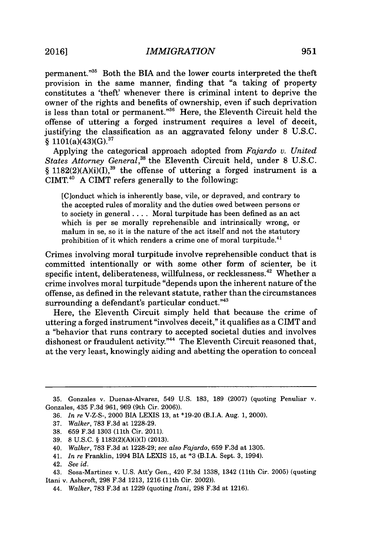permanent."<sup>35</sup> Both the BIA and the lower courts interpreted the theft provision in the same manner, finding that "a taking of property constitutes a 'theft' whenever there is criminal intent to deprive the owner of the rights and benefits of ownership, even if such deprivation is less than total or permanent."<sup>36</sup> Here, the Eleventh Circuit held the offense of uttering a forged instrument requires a level of deceit, justifying the classification as an aggravated felony under **8 U.S.C.**  $\frac{101(a)(43)(G)^{37}}{6}$ 

Applying the categorical approach adopted from *Fajardo v. United States Attorney General,"* the Eleventh Circuit held, under **8 U.S.C.**  $§$  1182(2)(A)(i)(I),<sup>39</sup> the offense of uttering a forged instrument is a CIMT.4<sup>0</sup>**A** CIMT refers generally to the following:

[Clonduct which is inherently base, vile, or depraved, and contrary to the accepted rules of morality and the duties owed between persons or to society in general **.** . **..** Moral turpitude has been defined as an act which is per se morally reprehensible and intrinsically wrong, or malum in se, so it is the nature of the act itself and not the statutory prohibition of it which renders a crime one of moral turpitude.<sup>41</sup>

Crimes involving moral turpitude involve reprehensible conduct that is committed intentionally or with some other form of scienter, be it specific intent, deliberateness, willfulness, or recklessness.<sup>42</sup> Whether a crime involves moral turpitude "depends upon the inherent nature of the offense, as defined in the relevant statute, rather than the circumstances surrounding a defendant's particular conduct."<sup>43</sup>

Here, the Eleventh Circuit simply held that because the crime of uttering a forged instrument "involves deceit," it qualifies as a CIMT and a "behavior that runs contrary to accepted societal duties and involves dishonest or fraudulent activity."<sup>44</sup> The Eleventh Circuit reasoned that, at the very least, knowingly aiding and abetting the operation to conceal

**<sup>35.</sup>** Gonzales v. Duenas-Alvarez, 549 **U.S. 183, 189 (2007)** (quoting Penuliar v. Gonzales, 435 **F.3d 961, 969** (9th Cir. **2006)).**

**<sup>36.</sup>** *In re* V-Z-S-, 2000 BIA LEXIS **13,** at **\*19-20** (B.I.A. Aug. **1,** 2000).

**<sup>37.</sup>** *Walker,* **783 F.3d** at **1228-29.**

**<sup>38. 659</sup> F.3d 1303** (11th Cir. 2011).

**<sup>39. 8</sup> U.S.C.** *§* 1182(2)(A)(i)(1) **(2013).**

<sup>40.</sup> *Walker,* **783 F.3d** at **1228-29;** *see also Fajardo,* **659 F.3d** at **1305.**

<sup>41.</sup> *In re* Franklin, 1994 BIA LEXIS **15,** at **\*3** (B.I.A. Sept. **3,** 1994).

<sup>42.</sup> *See id.*

<sup>43.</sup> Sosa-Martinez v. **U.S.** Att'y Gen., 420 **F.3d 1338,** 1342 (11th Cir. **2005)** (quoting Itani v. Ashcroft, **298 F.3d 1213, 1216** (11th Cir. 2002)).

<sup>44.</sup> *Walker,* **783 F.3d** at **1229** (quoting *Itani,* **298 F.3d** at **1216).**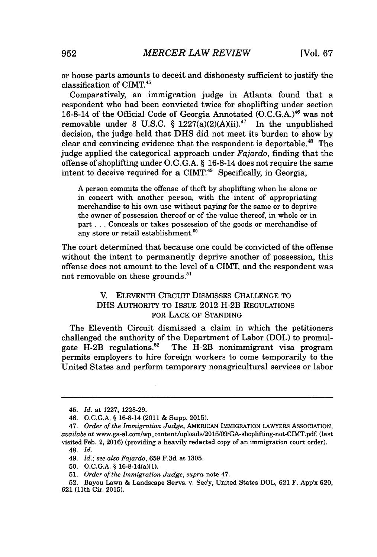or house parts amounts to deceit and dishonesty sufficient to justify the classification of CIMT.<sup>45</sup>

Comparatively, an immigration judge in Atlanta found that a respondent who had been convicted twice for shoplifting under section 16-8-14 of the Official Code of Georgia Annotated **(O.C.G.A.) <sup>4</sup><sup>6</sup>**was not removable under 8 U.S.C.  $\S$  1227(a)(2)(A)(ii).<sup>47</sup> In the unpublished decision, the judge held that **DHS** did not meet its burden to show **by** clear and convincing evidence that the respondent is deportable."' The judge applied the categorical approach under *Fajardo,* finding that the offense of shoplifting under **O.C.G.A.** *§* 16-8-14 does not require the same intent to deceive required for a CIMT.49 Specifically, in Georgia,

**A** person commits the offense of theft **by** shoplifting when he alone or in concert with another person, with the intent of appropriating merchandise to his own use without paying for the same or to deprive the owner of possession thereof or of the value thereof, in whole or in part **...** Conceals or takes possession of the goods or merchandise of any store or retail establishment.<sup>50</sup>

The court determined that because one could be convicted of the offense without the intent to permanently deprive another of possession, this offense does not amount to the level of a CIMT, and the respondent was not removable on these grounds.<sup>51</sup>

### V. **ELEVENTH** CIRCUIT DISMISSES **CHALLENGE** TO **DHS** AUTHORITY TO ISSUE 2012 H-2B REGULATIONS FOR LACK OF **STANDING**

The Eleventh Circuit dismissed a claim in which the petitioners challenged the authority of the Department of Labor (DOL) to promulgate  $H-2B$  regulations.<sup>52</sup> The  $H-2B$  nonimmigrant visa program The H-2B nonimmigrant visa program permits employers to hire foreign workers to come temporarily to the United States and perform temporary nonagricultural services or labor

<sup>45.</sup> *Id.* at **1227, 1228-29.**

<sup>46.</sup> **O.C.G.A. §** 16-8-14 (2011 **&** Supp. **2015).**

*<sup>47.</sup> Order of the Immigration Judge,* AMERICAN IMMIGRATION LAWYERS ASSOCIATION, *availabe at* www.ga-al.com/wp-content/uploads/2015/09/GA-shoplifting-not-CIMT.pdf (last visited Feb. 2, **2016)** (providing a heavily redacted copy of an immigration court order). 48. *Id.*

*<sup>49.</sup> Id.; see also Fajardo,* **659 F.3d** at **1305.**

**<sup>50.</sup> O.C.G.A. §** 16-8-14(a)(1).

**<sup>51.</sup>** *Order of the Immigration Judge, supra* note 47.

**<sup>52.</sup>** Bayou Lawn **&** Landscape Servs. v. Sec'y, United States DOL, **621** F. App'x **620, 621** (11th Cir. **2015).**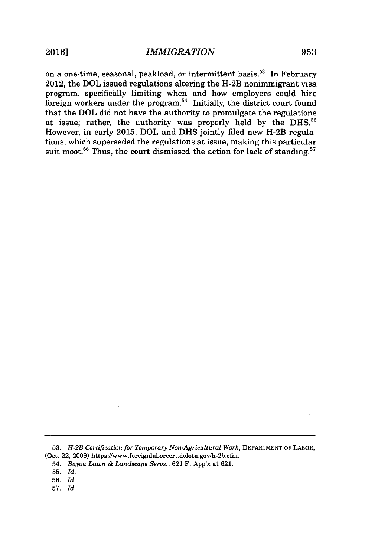on a one-time, seasonal, peakload, or intermittent basis.<sup>53</sup> In February 2012, the DOL issued regulations altering the H-2B nonimmigrant visa program, specifically limiting when and how employers could hire foreign workers under the program.<sup>54</sup> Initially, the district court found that the DOL did not have the authority to promulgate the regulations at issue; rather, the authority was properly held **by** the **DHS."** However, in early **2015,** DOL and **DHS** jointly filed new H-2B regulations, which superseded the regulations at issue, making this particular suit moot.<sup>56</sup> Thus, the court dismissed the action for lack of standing.<sup>57</sup>

**<sup>53.</sup>** *H-2B Certification for Temporary Non-Agricultural Work,* **DEPARTMENT OF LABOR,** (Oct. 22, **2009)** https://www.foreignlaborcert.doleta.gov/h-2b.cfm.

<sup>54.</sup> *Bayou Lawn & Landscape Servs.,* **621** F. App'x at **621.**

**<sup>55.</sup>** *Id.*

**<sup>56.</sup>** *Id.*

**<sup>57.</sup>** *Id.*